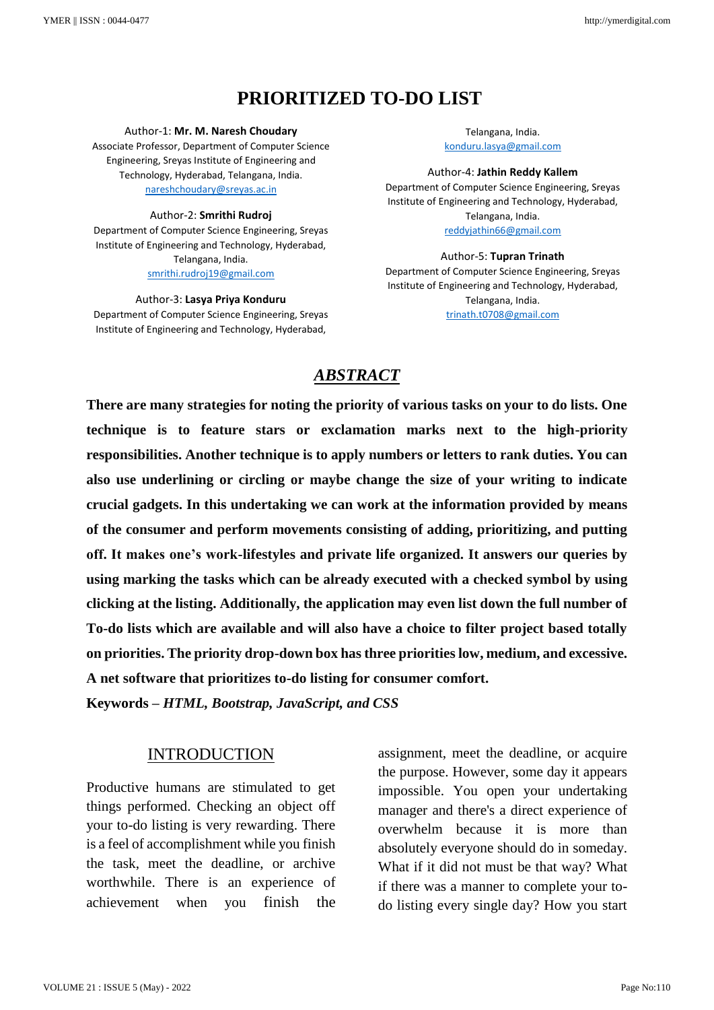# **PRIORITIZED TO-DO LIST**

Author-1: **Mr. M. Naresh Choudary**

Associate Professor, Department of Computer Science Engineering, Sreyas Institute of Engineering and Technology, Hyderabad, Telangana, India. [nareshchoudary@sreyas.ac.in](mailto:nareshchoudary@sreyas.ac.in)

#### Author-2: **Smrithi Rudroj**

Department of Computer Science Engineering, Sreyas Institute of Engineering and Technology, Hyderabad, Telangana, India. [smrithi.rudroj19@gmail.com](mailto:smrithi.rudroj19@gmail.com)

Author-3: **Lasya Priya Konduru** Department of Computer Science Engineering, Sreyas Institute of Engineering and Technology, Hyderabad,

Telangana, India. [konduru.lasya@gmail.com](mailto:konduru.lasya@gmail.com)

Author-4: **Jathin Reddy Kallem** Department of Computer Science Engineering, Sreyas Institute of Engineering and Technology, Hyderabad, Telangana, India. [reddyjathin66@gmail.com](mailto:reddyjathin66@gmail.com)

#### Author-5: **Tupran Trinath**

Department of Computer Science Engineering, Sreyas Institute of Engineering and Technology, Hyderabad, Telangana, India. [trinath.t0708@gmail.com](mailto:trinath.t0708@gmail.com)

# *ABSTRACT*

**There are many strategies for noting the priority of various tasks on your to do lists. One technique is to feature stars or exclamation marks next to the high-priority responsibilities. Another technique is to apply numbers or letters to rank duties. You can also use underlining or circling or maybe change the size of your writing to indicate crucial gadgets. In this undertaking we can work at the information provided by means of the consumer and perform movements consisting of adding, prioritizing, and putting off. It makes one's work-lifestyles and private life organized. It answers our queries by using marking the tasks which can be already executed with a checked symbol by using clicking at the listing. Additionally, the application may even list down the full number of To-do lists which are available and will also have a choice to filter project based totally on priorities. The priority drop-down box has three priorities low, medium, and excessive. A net software that prioritizes to-do listing for consumer comfort.** 

**Keywords –** *HTML, Bootstrap, JavaScript, and CSS*

# INTRODUCTION

Productive humans are stimulated to get things performed. Checking an object off your to-do listing is very rewarding. There is a feel of accomplishment while you finish the task, meet the deadline, or archive worthwhile. There is an experience of achievement when you finish the assignment, meet the deadline, or acquire the purpose. However, some day it appears impossible. You open your undertaking manager and there's a direct experience of overwhelm because it is more than absolutely everyone should do in someday. What if it did not must be that way? What if there was a manner to complete your todo listing every single day? How you start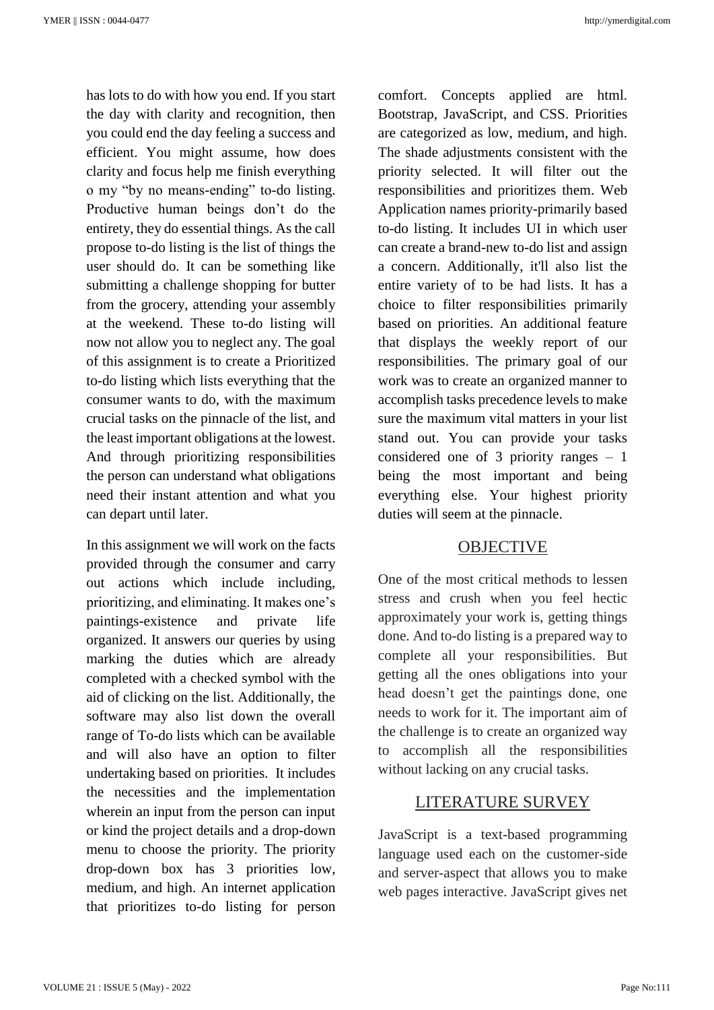has lots to do with how you end. If you start the day with clarity and recognition, then you could end the day feeling a success and efficient. You might assume, how does clarity and focus help me finish everything o my "by no means-ending" to-do listing. Productive human beings don't do the entirety, they do essential things. As the call propose to-do listing is the list of things the user should do. It can be something like submitting a challenge shopping for butter from the grocery, attending your assembly at the weekend. These to-do listing will now not allow you to neglect any. The goal of this assignment is to create a Prioritized to-do listing which lists everything that the consumer wants to do, with the maximum crucial tasks on the pinnacle of the list, and the least important obligations at the lowest. And through prioritizing responsibilities the person can understand what obligations need their instant attention and what you can depart until later.

In this assignment we will work on the facts provided through the consumer and carry out actions which include including, prioritizing, and eliminating. It makes one's paintings-existence and private life organized. It answers our queries by using marking the duties which are already completed with a checked symbol with the aid of clicking on the list. Additionally, the software may also list down the overall range of To-do lists which can be available and will also have an option to filter undertaking based on priorities. It includes the necessities and the implementation wherein an input from the person can input or kind the project details and a drop-down menu to choose the priority. The priority drop-down box has 3 priorities low, medium, and high. An internet application that prioritizes to-do listing for person

comfort. Concepts applied are html. Bootstrap, JavaScript, and CSS. Priorities are categorized as low, medium, and high. The shade adjustments consistent with the priority selected. It will filter out the responsibilities and prioritizes them. Web Application names priority-primarily based to-do listing. It includes UI in which user can create a brand-new to-do list and assign a concern. Additionally, it'll also list the entire variety of to be had lists. It has a choice to filter responsibilities primarily based on priorities. An additional feature that displays the weekly report of our responsibilities. The primary goal of our work was to create an organized manner to accomplish tasks precedence levels to make sure the maximum vital matters in your list stand out. You can provide your tasks considered one of 3 priority ranges – 1 being the most important and being everything else. Your highest priority duties will seem at the pinnacle.

## OBJECTIVE

One of the most critical methods to lessen stress and crush when you feel hectic approximately your work is, getting things done. And to-do listing is a prepared way to complete all your responsibilities. But getting all the ones obligations into your head doesn't get the paintings done, one needs to work for it. The important aim of the challenge is to create an organized way to accomplish all the responsibilities without lacking on any crucial tasks.

## LITERATURE SURVEY

JavaScript is a text-based programming language used each on the customer-side and server-aspect that allows you to make web pages interactive. JavaScript gives net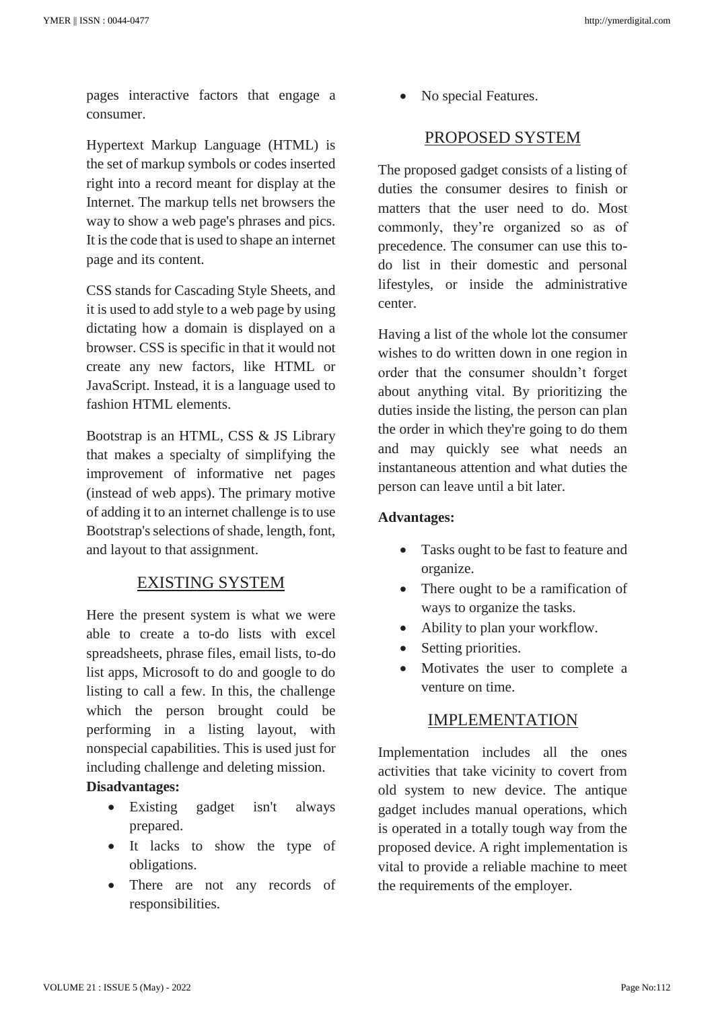pages interactive factors that engage a consumer.

Hypertext Markup Language (HTML) is the set of markup symbols or codes inserted right into a record meant for display at the Internet. The markup tells net browsers the way to show a web page's phrases and pics. It is the code that is used to shape an internet page and its content.

CSS stands for Cascading Style Sheets, and it is used to add style to a web page by using dictating how a domain is displayed on a browser. CSS is specific in that it would not create any new factors, like HTML or JavaScript. Instead, it is a language used to fashion HTML elements.

Bootstrap is an HTML, CSS & JS Library that makes a specialty of simplifying the improvement of informative net pages (instead of web apps). The primary motive of adding it to an internet challenge is to use Bootstrap's selections of shade, length, font, and layout to that assignment.

## EXISTING SYSTEM

Here the present system is what we were able to create a to-do lists with excel spreadsheets, phrase files, email lists, to-do list apps, Microsoft to do and google to do listing to call a few. In this, the challenge which the person brought could be performing in a listing layout, with nonspecial capabilities. This is used just for including challenge and deleting mission.

# **Disadvantages:**

- Existing gadget isn't always prepared.
- It lacks to show the type of obligations.
- There are not any records of responsibilities.

No special Features.

# PROPOSED SYSTEM

The proposed gadget consists of a listing of duties the consumer desires to finish or matters that the user need to do. Most commonly, they're organized so as of precedence. The consumer can use this todo list in their domestic and personal lifestyles, or inside the administrative center.

Having a list of the whole lot the consumer wishes to do written down in one region in order that the consumer shouldn't forget about anything vital. By prioritizing the duties inside the listing, the person can plan the order in which they're going to do them and may quickly see what needs an instantaneous attention and what duties the person can leave until a bit later.

#### **Advantages:**

- Tasks ought to be fast to feature and organize.
- There ought to be a ramification of ways to organize the tasks.
- Ability to plan your workflow.
- Setting priorities.
- Motivates the user to complete a venture on time.

## IMPLEMENTATION

Implementation includes all the ones activities that take vicinity to covert from old system to new device. The antique gadget includes manual operations, which is operated in a totally tough way from the proposed device. A right implementation is vital to provide a reliable machine to meet the requirements of the employer.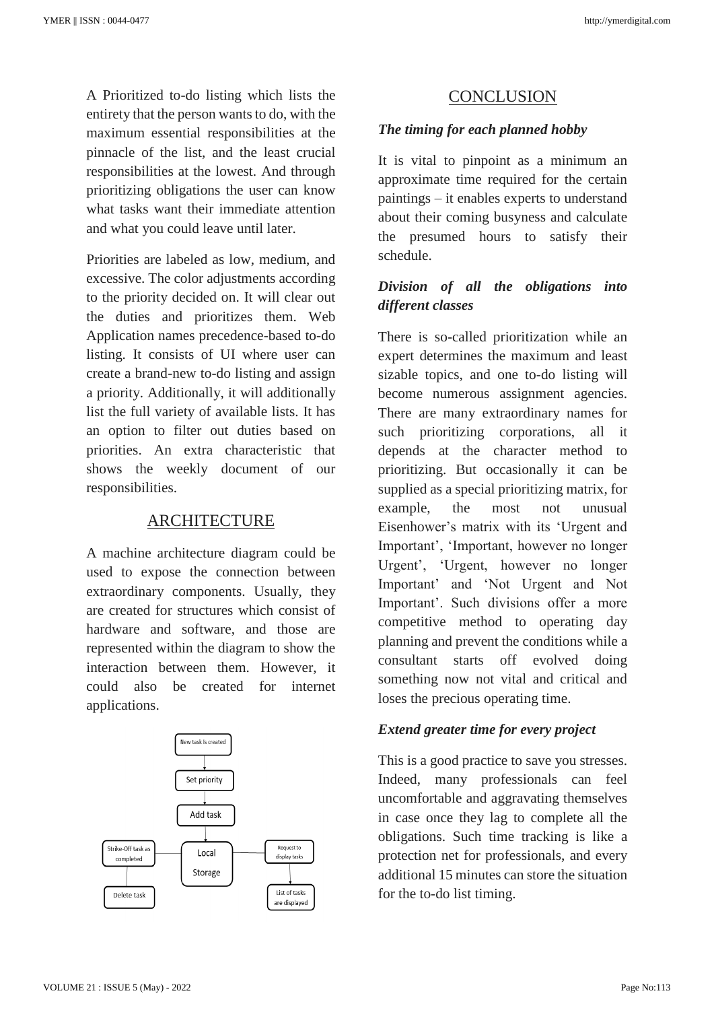A Prioritized to-do listing which lists the entirety that the person wants to do, with the maximum essential responsibilities at the pinnacle of the list, and the least crucial responsibilities at the lowest. And through prioritizing obligations the user can know what tasks want their immediate attention and what you could leave until later.

Priorities are labeled as low, medium, and excessive. The color adjustments according to the priority decided on. It will clear out the duties and prioritizes them. Web Application names precedence-based to-do listing. It consists of UI where user can create a brand-new to-do listing and assign a priority. Additionally, it will additionally list the full variety of available lists. It has an option to filter out duties based on priorities. An extra characteristic that shows the weekly document of our responsibilities.

## ARCHITECTURE

A machine architecture diagram could be used to expose the connection between extraordinary components. Usually, they are created for structures which consist of hardware and software, and those are represented within the diagram to show the interaction between them. However, it could also be created for internet applications.



# CONCLUSION

# *The timing for each planned hobby*

It is vital to pinpoint as a minimum an approximate time required for the certain paintings – it enables experts to understand about their coming busyness and calculate the presumed hours to satisfy their schedule.

# *Division of all the obligations into different classes*

There is so-called prioritization while an expert determines the maximum and least sizable topics, and one to-do listing will become numerous assignment agencies. There are many extraordinary names for such prioritizing corporations, all it depends at the character method to prioritizing. But occasionally it can be supplied as a special prioritizing matrix, for example, the most not unusual Eisenhower's matrix with its 'Urgent and Important', 'Important, however no longer Urgent', 'Urgent, however no longer Important' and 'Not Urgent and Not Important'. Such divisions offer a more competitive method to operating day planning and prevent the conditions while a consultant starts off evolved doing something now not vital and critical and loses the precious operating time.

## *Extend greater time for every project*

This is a good practice to save you stresses. Indeed, many professionals can feel uncomfortable and aggravating themselves in case once they lag to complete all the obligations. Such time tracking is like a protection net for professionals, and every additional 15 minutes can store the situation for the to-do list timing.